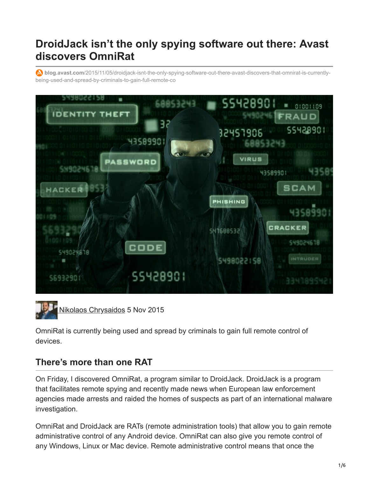## **DroidJack isn't the only spying software out there: Avast discovers OmniRat**

**blog.avast.com**[/2015/11/05/droidjack-isnt-the-only-spying-software-out-there-avast-discovers-that-omnirat-is-currently](https://blog.avast.com/2015/11/05/droidjack-isnt-the-only-spying-software-out-there-avast-discovers-that-omnirat-is-currently-being-used-and-spread-by-criminals-to-gain-full-remote-co)being-used-and-spread-by-criminals-to-gain-full-remote-co



[Nikolaos Chrysaidos](https://blog.avast.com/author/nikolaos-chrysaidos) 5 Nov 2015

OmniRat is currently being used and spread by criminals to gain full remote control of devices.

## **There's more than one RAT**

On Friday, I discovered OmniRat, a program similar to DroidJack. DroidJack is a program that facilitates remote spying and recently made news when European law enforcement agencies made arrests and raided the homes of suspects as part of an international malware investigation.

OmniRat and DroidJack are RATs (remote administration tools) that allow you to gain remote administrative control of any Android device. OmniRat can also give you remote control of any Windows, Linux or Mac device. Remote administrative control means that once the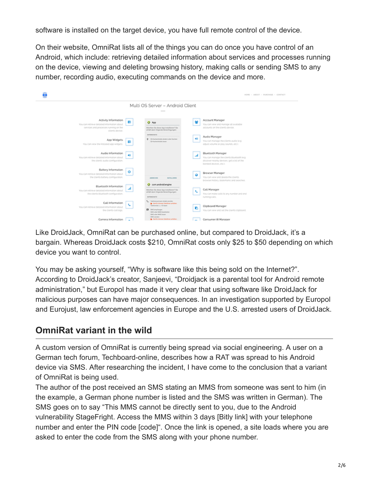software is installed on the target device, you have full remote control of the device.

On their website, OmniRat lists all of the things you can do once you have control of an Android, which include: retrieving detailed information about services and processes running on the device, viewing and deleting browsing history, making calls or sending SMS to any number, recording audio, executing commands on the device and more.

| ë                                                                                                                                                                                        |         |                                                                                                                                                                                     | HOME - ABOUT - FURDIANE - CONTACT                                                                                                                                                                          |
|------------------------------------------------------------------------------------------------------------------------------------------------------------------------------------------|---------|-------------------------------------------------------------------------------------------------------------------------------------------------------------------------------------|------------------------------------------------------------------------------------------------------------------------------------------------------------------------------------------------------------|
|                                                                                                                                                                                          |         | Multi OS Server - Android Client                                                                                                                                                    |                                                                                                                                                                                                            |
| Activity Information<br>You can retrieve detailed information about<br>services and processes running on the<br>clients device.<br>App Widgets<br>You can view the instabed app widgets. | E.<br>ᇳ | $O$ App<br>Michten De diese App installeren? De<br>whalt dann folgande Berechtigungen:<br><b>AAFENIDAFE</b><br>52-Karlenishaha Brubern John Kischen<br>÷.<br>53 Karlonichalte lesan | Account Manager<br>뇹<br>You can yiew and manage all available<br>accounts on the clients device.<br>Audio Manager<br>-es-<br>You can manage the clients audio le g<br>adjust volume or play sounds, etc.). |
| Audio Information<br>You can retrieve detailed information about<br>the clients audio configuration.<br>Battery Information                                                              | 帅       |                                                                                                                                                                                     | <b>Bluetooth Manager</b><br>You can manage the clients bluetooth le.g.<br>discover nearby devices, get a list of the<br>bonded devices, etc.).                                                             |
| You can retrieve detailed information about<br>the clients battery configuration.                                                                                                        | o       | ABBROOKS<br><b><i>BATALLEREN</i></b>                                                                                                                                                | Erowser Manager<br>۰<br>You can view and delete the clients.<br>browser history, bookmarks and searches.                                                                                                   |
| Bluetooth Information<br>You can retrieve detailed information about<br>the clients bluetooth configuration.                                                                             |         | O comandroid.engine<br>Michten De diese App installeren? De<br>erhält dann folgande Berechtigungen:<br><b>BATEMININTE</b>                                                           | Call Manager<br>◟<br>You can make calls to any number and end<br>running calls.                                                                                                                            |
| Call Information<br>You can retrieve detabed information about<br>the clients cad logs.                                                                                                  | ı.      | Telefonomen direct anyles<br>b Harfu kinnen Gebühren arfallen.<br>falafonstat u. drianan<br><b>D</b> SMS empfangers<br>DATE color MAPS beachwiters<br><b>DAS color MAFL langer</b>  | Clipboard Manager<br>r<br>You can view and set the clients clipboard.                                                                                                                                      |
| Camera Information                                                                                                                                                                       |         | SMS senders<br>> Harfa kinnen Gebühren arfallen.                                                                                                                                    | Consumer IR Manager                                                                                                                                                                                        |

Like DroidJack, OmniRat can be purchased online, but compared to DroidJack, it's a bargain. Whereas DroidJack costs \$210, OmniRat costs only \$25 to \$50 depending on which device you want to control.

You may be asking yourself, "Why is software like this being sold on the Internet?". According to DroidJack's creator, Sanjeevi, "Droidjack is a parental tool for Android remote administration," but Europol has made it very clear that using software like DroidJack for malicious purposes can have major consequences. In an investigation supported by Europol and Eurojust, law enforcement agencies in Europe and the U.S. arrested users of DroidJack.

## **OmniRat variant in the wild**

A custom version of OmniRat is currently being spread via social engineering. A user on a German tech forum, Techboard-online, describes how a RAT was spread to his Android device via SMS. After researching the incident, I have come to the conclusion that a variant of OmniRat is being used.

The author of the post received an SMS stating an MMS from someone was sent to him (in the example, a German phone number is listed and the SMS was written in German). The SMS goes on to say "This MMS cannot be directly sent to you, due to the Android vulnerability StageFright. Access the MMS within 3 days [Bitly link] with your telephone number and enter the PIN code [code]". Once the link is opened, a site loads where you are asked to enter the code from the SMS along with your phone number.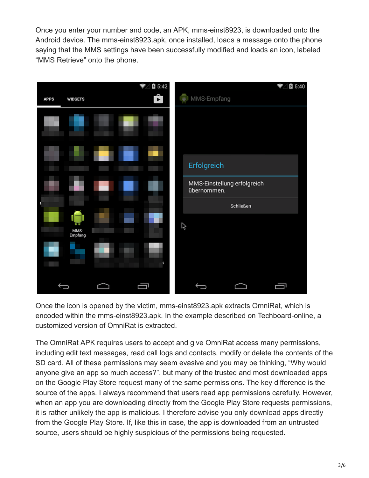Once you enter your number and code, an APK, mms-einst8923, is downloaded onto the Android device. The mms-einst8923.apk, once installed, loads a message onto the phone saying that the MMS settings have been successfully modified and loads an icon, labeled "MMS Retrieve" onto the phone.



Once the icon is opened by the victim, mms-einst8923.apk extracts OmniRat, which is encoded within the mms-einst8923.apk. In the example described on Techboard-online, a customized version of OmniRat is extracted.

The OmniRat APK requires users to accept and give OmniRat access many permissions, including edit text messages, read call logs and contacts, modify or delete the contents of the SD card. All of these permissions may seem evasive and you may be thinking, "Why would anyone give an app so much access?", but many of the trusted and most downloaded apps on the Google Play Store request many of the same permissions. The key difference is the source of the apps. I always recommend that users read app permissions carefully. However, when an app you are downloading directly from the Google Play Store requests permissions, it is rather unlikely the app is malicious. I therefore advise you only download apps directly from the Google Play Store. If, like this in case, the app is downloaded from an untrusted source, users should be highly suspicious of the permissions being requested.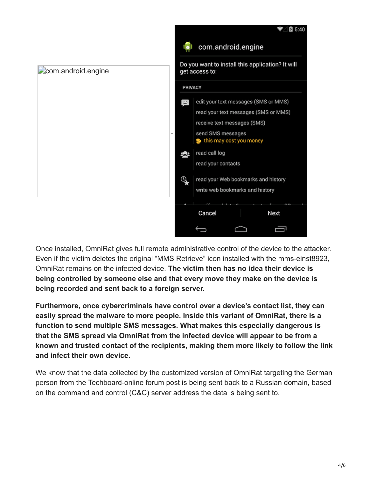

Once installed, OmniRat gives full remote administrative control of the device to the attacker. Even if the victim deletes the original "MMS Retrieve" icon installed with the mms-einst8923, OmniRat remains on the infected device. **The victim then has no idea their device is being controlled by someone else and that every move they make on the device is being recorded and sent back to a foreign server.**

**Furthermore, once cybercriminals have control over a device's contact list, they can easily spread the malware to more people. Inside this variant of OmniRat, there is a function to send multiple SMS messages. What makes this especially dangerous is that the SMS spread via OmniRat from the infected device will appear to be from a known and trusted contact of the recipients, making them more likely to follow the link and infect their own device.**

We know that the data collected by the customized version of OmniRat targeting the German person from the Techboard-online forum post is being sent back to a Russian domain, based on the command and control (C&C) server address the data is being sent to.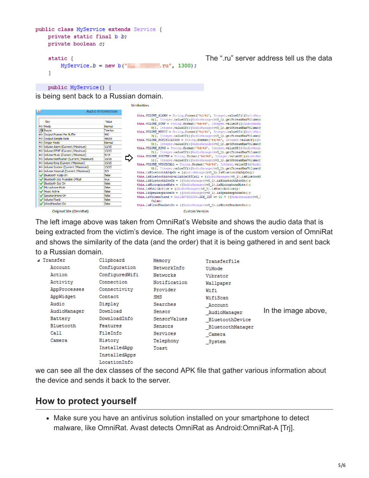```
public class MyService extends Service {
private static final b b;
private boolean c;
                                                      The ".ru" server address tell us the data
static \{MyService.b = new b("\blacksquare .ru", 1300);
\mathcal{F}public MyService() {
```
is being sent back to a Russian domain.

| $\left  \frac{\ell}{2} \right $         | Audio Information |                                                                                                                                           |
|-----------------------------------------|-------------------|-------------------------------------------------------------------------------------------------------------------------------------------|
|                                         |                   | this. VOLUME ALARM = String. format ("8d/8d", Integer. valueOf ((AudioMana                                                                |
| Key                                     | Value             | 4)), Integer.valueOf(((AudioManager)v0 1).getStreamMaxVolume(4<br>this. VOLUME DTMF = String.format("%d/%d", Integer.valueOf(((AudioManag |
| (a) Mode                                | Normal            | 8)), Integer.valueOf(((AudioManager)v0 1).getStreamMaxVolume({                                                                            |
| <b>Route</b>                            | Telefon           | this. VOLUME MUSIC = String.format("&d/&d", Integer.valueOf((AudioMana                                                                    |
| Output Frames Per Buffer                | 960               | 3)), Integer.valueOf(((AudioManager)v0 1).getStreamMaxVolume(3)                                                                           |
| Output Sample Rate                      | 48000             | this. VOLUME NOTIFICATION = String.format("8d/8d", Integer.valueOf((A)                                                                    |
| Ringer Mode                             | Normal            | 5)), Integer.valueOf(((AudioManager)v0 1).getStreamMaxVolume(                                                                             |
| Volume Alarm (Current / Maximum)        | 11/15             | this. VOLUME RING = String. format ("%d/%d", Integer.valueOf(((AudioManao)                                                                |
| Volume DTMF (Current / Maximum)         | 15/15             | 2)), Integer.valueOf(((AudioManager)v0 1).getStreamMaxVolume(1                                                                            |
| Volume Music (Current / Maximum)        | 9/15              | this. VOLUME SYSTEM = String. format ("8d/8d", Integer.valueOf((AudioMan                                                                  |
| Volume Notification (Current / Maximum) | 15/15             | 1)), Integer.valueOf(((AudioManager)v0 1).getStreamMaxVolume(1                                                                            |
| Volume Ring (Current / Maximum)         | 15/15             | this. VOLUME VOICECALL = String. format ("%d/%d", Integer.valueOf((Audio                                                                  |
| Volume System (Current / Maximum)       | 15/15             | 0)), Integer.valueOf(((AudioManager)v0 1).getStreamMaxVolume((                                                                            |
| Volume Voicecall (Current / Maximum)    | 5/5               | this.isBluetoothA2dpOn = $((\text{AudioManager})\vee 0 1) .i\text{cBluetoothA2dpOn}()$ ;                                                  |
| Bluetooth A2dp On                       | false             | this.isBluetoothScoAvailableOffCall = ((AudioManager)v0 1).isBluetooth                                                                    |
| Bluetooth Sco Available Offcall         | true              | this.isBluetoothScoOn = ((AudioManager)v0_1).isBluetoothScoOn();                                                                          |
| Bluetooth Sco On                        | false             | this.isMicrophoneMute = $((\text{AudioManager})\vee 0\)$ .isMicrophoneMute();                                                             |
| Microphone Mute                         | false             | this.isMusicActive = ((AudioManager)v0_1).isMusicActive();                                                                                |
| Music Active                            | false             | this.isSpeakerphoneOn = $((\text{AudioManager})\vee 0\)$ .isSpeakerphoneOn();                                                             |
| Speakerphone On                         | false             | this.isVolumeFixed = Build\$VERSION.SDK INT >= 21 ? ((AudioManager) v0 .                                                                  |
| Volume Fixed                            | false             | false:                                                                                                                                    |
| WiredHeadset On                         | false             | this.isWiredHeadsetOn = $((\text{AudioManager})\vee 0\)$ .isWiredHeadsetOn();                                                             |
| Original Site (OmniRat)                 |                   | <b>Custom Version</b>                                                                                                                     |

Similarities

The left image above was taken from OmniRat's Website and shows the audio data that is being extracted from the victim's device. The right image is of the custom version of OmniRat and shows the similarity of the data (and the order) that it is being gathered in and sent back to a Russian domain.

| ⊿ Transfer<br>Account<br>Action<br>Activity<br>AppProcesses<br>AppWidget<br>Audio<br>AudioManager<br>Battery<br>Bluetooth<br>Call<br>Camera | Clipboard<br>Configuration<br>ConfiguredWifi<br>Connection<br>Connectivity<br>Contact<br>Display<br>Download<br>DownloadInfo<br>Features<br>FileInfo<br>History<br>InstalledApp<br>InstalledApps | Memory<br>NetworkInfo<br>Networks<br>Notification<br>Provider<br>SMS<br>Searches<br>Sensor<br>SensorValues<br>Sensors<br>Services<br>Telephony<br>Toast | TransferFile<br>UiMode<br>Vibrator<br>Wallpaper<br>Wifi<br>WifiScan<br>Account<br>AudioManager<br>BluetoothDevice<br>BluetoothManager<br>Camera<br>System | In the image above, |
|---------------------------------------------------------------------------------------------------------------------------------------------|--------------------------------------------------------------------------------------------------------------------------------------------------------------------------------------------------|---------------------------------------------------------------------------------------------------------------------------------------------------------|-----------------------------------------------------------------------------------------------------------------------------------------------------------|---------------------|
|                                                                                                                                             | LocationInfo                                                                                                                                                                                     |                                                                                                                                                         |                                                                                                                                                           |                     |

we can see all the dex classes of the second APK file that gather various information about the device and sends it back to the server.

## **How to protect yourself**

Make sure you have an antivirus solution installed on your smartphone to detect malware, like OmniRat. Avast detects OmniRat as Android:OmniRat-A [Trj].